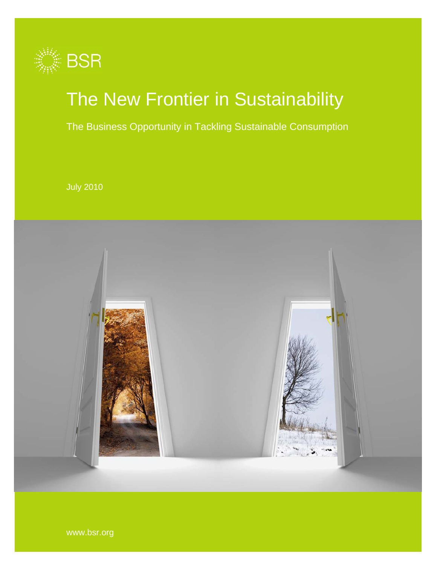

# The New Frontier in Sustainability

The Business Opportunity in Tackling Sustainable Consumption

July 2010



www.bsr.org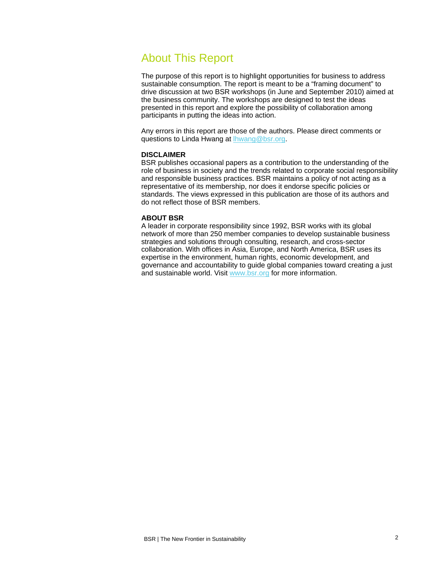# About This Report

The purpose of this report is to highlight opportunities for business to address sustainable consumption. The report is meant to be a "framing document" to drive discussion at two BSR workshops (in June and September 2010) aimed at the business community. The workshops are designed to test the ideas presented in this report and explore the possibility of collaboration among participants in putting the ideas into action.

<span id="page-1-3"></span><span id="page-1-2"></span><span id="page-1-1"></span><span id="page-1-0"></span>Any errors in this report are those of the authors. Please direct comments or questions to Linda Hwang at [lhwang@bsr.org.](mailto:lhwang@bsr.org)

#### **DISCLAIMER**

<span id="page-1-5"></span><span id="page-1-4"></span>BSR publishes occasional papers as a contribution to the understanding of the role of business in society and the trends related to corporate social responsibility and responsible business practices. BSR maintains a policy of not acting as a representative of its membership, nor does it endorse specific policies or standards. The views expressed in this publication are those of its authors and do not reflect those of BSR members.

#### <span id="page-1-6"></span>**ABOUT BSR**

<span id="page-1-24"></span><span id="page-1-23"></span><span id="page-1-22"></span><span id="page-1-21"></span><span id="page-1-20"></span><span id="page-1-19"></span><span id="page-1-18"></span><span id="page-1-17"></span><span id="page-1-16"></span><span id="page-1-15"></span><span id="page-1-14"></span><span id="page-1-13"></span><span id="page-1-12"></span><span id="page-1-11"></span><span id="page-1-10"></span><span id="page-1-9"></span><span id="page-1-8"></span><span id="page-1-7"></span>A leader in corporate responsibility since 1992, BSR works with its global network of more than [250 member companies](http://10.0.0.99/membership/index.cfm) to develop sustainable business strategies and solutions through [consulting,](http://10.0.0.99/consulting/index.cfm) [research](http://10.0.0.99/research/index.cfm), and cross-sector collaboration. With offices in Asia, Europe, and North America, BSR uses its expertise in the environment, human rights, economic development, and governance and accountability to guide global companies toward creating a just and sustainable world. Visit [www.bsr.org](http://www.bsr.org/) for more information.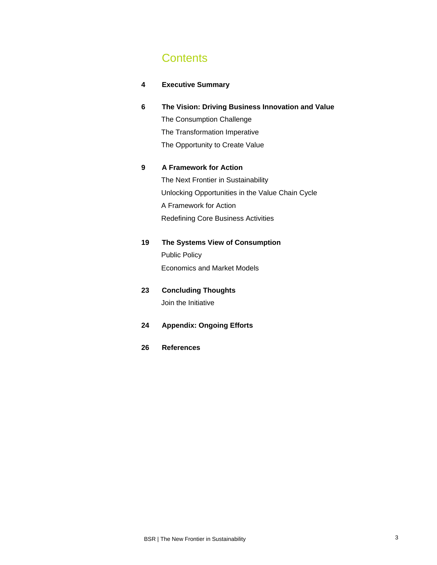# **Contents**

| 4 | <b>Executive Summary</b> |
|---|--------------------------|
|---|--------------------------|

# **6 The Vision: Driving Business Innovation and Value**

The Consumption Challenge The Transformation Imperative The Opportunity to Create Value

# **9 A Framework for Action**

The Next Frontier in Sustainability Unlocking Opportunities in the Value Chain Cycle A Framework for Action Redefining Core Business Activities

# **19 The Systems View of Consumption**

Public Policy Economics and Market Models

# **23 Concluding Thoughts**  Join the Initiative

# **24 Appendix: Ongoing Efforts**

**26 References**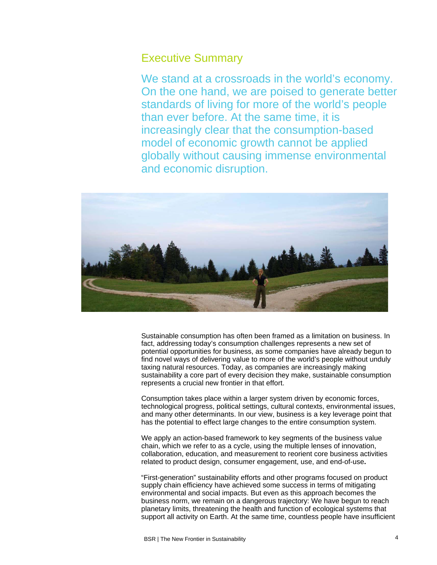# Executive Summary

We stand at a crossroads in the world's economy. On the one hand, we are poised to generate better standards of living for more of the world's people than ever before. At the same time, it is increasingly clear that the consumption-based model of economic growth cannot be applied globally without causing immense environmental and economic disruption.



Sustainable consumption has often been framed as a limitation on business. In fact, addressing today's consumption challenges represents a new set of potential opportunities for business, as some companies have already begun to find novel ways of delivering value to more of the world's people without unduly taxing natural resources. Today, as companies are increasingly making sustainability a core part of every decision they make, sustainable consumption represents a crucial new frontier in that effort.

Consumption takes place within a larger system driven by economic forces, technological progress, political settings, cultural contexts, environmental issues, and many other determinants. In our view, business is a key leverage point that has the potential to effect large changes to the entire consumption system.

We apply an action-based framework to key segments of the business value chain, which we refer to as a cycle, using the multiple lenses of innovation, collaboration, education, and measurement to reorient core business activities related to product design, consumer engagement, use, and end-of-use**.**

"First-generation" sustainability efforts and other programs focused on product supply chain efficiency have achieved some success in terms of mitigating environmental and social impacts. But even as this approach becomes the business norm, we remain on a dangerous trajectory: We have begun to reach planetary limits, threatening the health and function of ecological systems that support all activity on Earth. At the same time, countless people have insufficient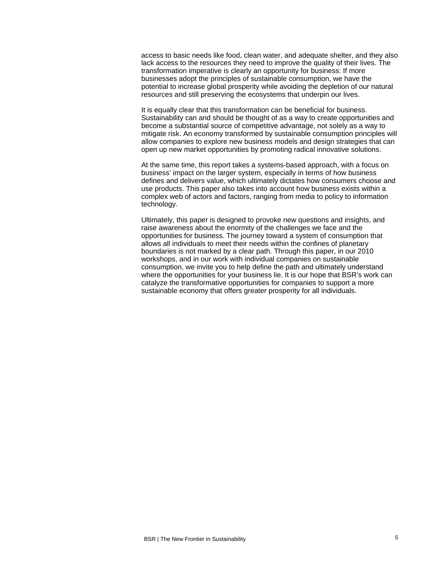access to basic needs like food, clean water, and adequate shelter, and they also lack access to the resources they need to improve the quality of their lives. The transformation imperative is clearly an opportunity for business: If more businesses adopt the principles of sustainable consumption, we have the potential to increase global prosperity while avoiding the depletion of our natural resources and still preserving the ecosystems that underpin our lives.

It is equally clear that this transformation can be beneficial for business. Sustainability can and should be thought of as a way to create opportunities and become a substantial source of competitive advantage, not solely as a way to mitigate risk. An economy transformed by sustainable consumption principles will allow companies to explore new business models and design strategies that can open up new market opportunities by promoting radical innovative solutions.

At the same time, this report takes a systems-based approach, with a focus on business' impact on the larger system, especially in terms of how business defines and delivers value, which ultimately dictates how consumers choose and use products. This paper also takes into account how business exists within a complex web of actors and factors, ranging from media to policy to information technology.

Ultimately, this paper is designed to provoke new questions and insights, and raise awareness about the enormity of the challenges we face and the opportunities for business. The journey toward a system of consumption that allows all individuals to meet their needs within the confines of planetary boundaries is not marked by a clear path. Through this paper, in our 2010 workshops, and in our work with individual companies on sustainable consumption, we invite you to help define the path and ultimately understand where the opportunities for your business lie. It is our hope that BSR's work can catalyze the transformative opportunities for companies to support a more sustainable economy that offers greater prosperity for all individuals.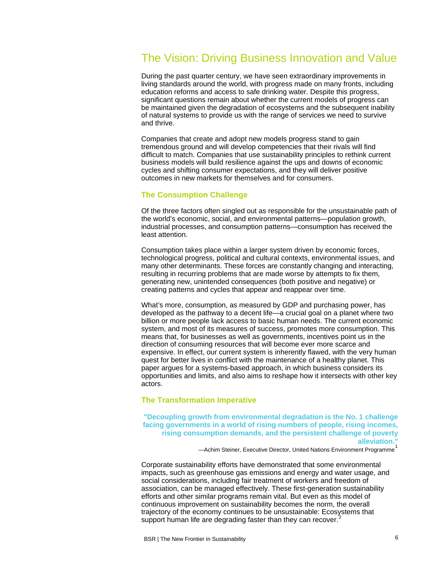# The Vision: Driving Business Innovation and Value

During the past quarter century, we have seen extraordinary improvements in living standards around the world, with progress made on many fronts, including education reforms and access to safe drinking water. Despite this progress, significant questions remain about whether the current models of progress can be maintained given the degradation of ecosystems and the subsequent inability of natural systems to provide us with the range of services we need to survive and thrive.

Companies that create and adopt new models progress stand to gain tremendous ground and will develop competencies that their rivals will find difficult to match. Companies that use sustainability principles to rethink current business models will build resilience against the ups and downs of economic cycles and shifting consumer expectations, and they will deliver positive outcomes in new markets for themselves and for consumers.

### **The Consumption Challenge**

Of the three factors often singled out as responsible for the unsustainable path of the world's economic, social, and environmental patterns—population growth, industrial processes, and consumption patterns—consumption has received the least attention.

Consumption takes place within a larger system driven by economic forces, technological progress, political and cultural contexts, environmental issues, and many other determinants. These forces are constantly changing and interacting, resulting in recurring problems that are made worse by attempts to fix them, generating new, unintended consequences (both positive and negative) or creating patterns and cycles that appear and reappear over time.

What's more, consumption, as measured by GDP and purchasing power, has developed as the pathway to a decent life—a crucial goal on a planet where two billion or more people lack access to basic human needs. The current economic system, and most of its measures of success, promotes more consumption. This means that, for businesses as well as governments, incentives point us in the direction of consuming resources that will become ever more scarce and expensive. In effect, our current system is inherently flawed, with the very human quest for better lives in conflict with the maintenance of a healthy planet. This paper argues for a systems-based approach, in which business considers its opportunities and limits, and also aims to reshape how it intersects with other key actors.

#### **The Transformation Imperative**

**"Decoupling growth from environmental degradation is the No. 1 challenge facing governments in a world of rising numbers of people, rising incomes, rising consumption demands, and the persistent challenge of poverty alleviation."** 

—Achim Steiner, Executive Director, United Nations Environment Programme<sup>[1](#page-1-0)</sup>

Corporate sustainability efforts have demonstrated that some environmental impacts, such as greenhouse gas emissions and energy and water usage, and social considerations, including fair treatment of workers and freedom of association, can be managed effectively. These first-generation sustainability efforts and other similar programs remain vital. But even as this model of continuous improvement on sustainability becomes the norm, the overall trajectory of the economy continues to be unsustainable: Ecosystems that support human life are degrading faster than they can recover.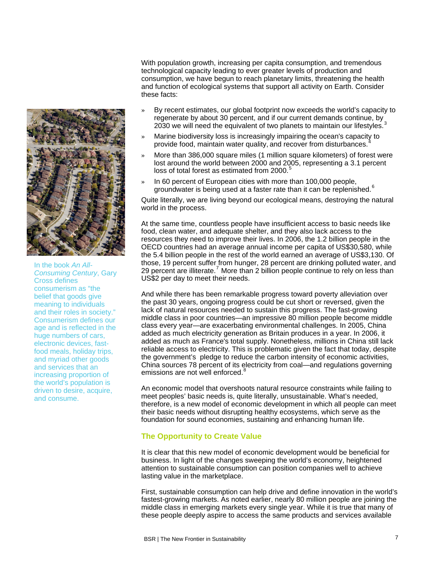

In the book *An All-Consuming Century*, Gary Cross defines consumerism as "the belief that goods give meaning to individuals and their roles in society." Consumerism defines our age and is reflected in the huge numbers of cars, electronic devices, fastfood meals, holiday trips, and myriad other goods and services that an increasing proportion of the world's population is driven to desire, acquire, and consume.

With population growth, increasing per capita consumption, and tremendous technological capacity leading to ever greater levels of production and consumption, we have begun to reach planetary limits, threatening the health and function of ecological systems that support all activity on Earth. Consider these facts:

- » By recent estimates, our global footprint now exceeds the world's capacity to regenerate by about 30 percent, and if our current demands continue, by 20[3](#page-1-2)0 we will need the equivalent of two planets to maintain our lifestyles.
- » Marine biodiversity loss is increasingly impairing the ocean's capacity to provide food, maintain water quality, and recover from disturbances.
- » More than 386,000 square miles (1 million square kilometers) of forest were lost around the world between 2000 and 2005, representing a 3.1 percent loss of total forest as estimated from 2000.<sup>[5](#page-1-4)</sup>
- In 60 percent of European cities with more than 100,000 people. groundwater is being used at a faster rate than it can be replenished.<sup>[6](#page-1-5)</sup>

Quite literally, we are living beyond our ecological means, destroying the natural world in the process.

At the same time, countless people have insufficient access to basic needs like food, clean water, and adequate shelter, and they also lack access to the resources they need to improve their lives. In 2006, the 1.2 billion people in the OECD countries had an average annual income per capita of US\$30,580, while the 5.4 billion people in the rest of the world earned an average of US\$3,130. Of those, 19 percent suffer from hunger, 28 percent are drinking polluted water, and 29 percent are illiterate.<sup>[7](#page-1-6)</sup> More than 2 billion people continue to rely on less than US\$2 per day to meet their needs.

And while there has been remarkable progress toward poverty alleviation over the past 30 years, ongoing progress could be cut short or reversed, given the lack of natural resources needed to sustain this progress. The fast-growing middle class in poor countries—an impressive 80 million people become middle class every year—are exacerbating environmental challenges. In 2005, China added as much electricity generation as Britain produces in a year. In 2006, it added as much as France's total supply. Nonetheless, millions in China still lack reliable access to electricity. This is problematic given the fact that today, despite the government's pledge to reduce the carbon intensity of economic activities, China sources 78 percent of its electricity from coal—and regulations governing emissions are not well enforced.<sup>[8](#page-1-7)</sup>

An economic model that overshoots natural resource constraints while failing to meet peoples' basic needs is, quite literally, unsustainable. What's needed, therefore, is a new model of economic development in which all people can meet their basic needs without disrupting healthy ecosystems, which serve as the foundation for sound economies, sustaining and enhancing human life.

# **The Opportunity to Create Value**

It is clear that this new model of economic development would be beneficial for business. In light of the changes sweeping the world's economy, heightened attention to sustainable consumption can position companies well to achieve lasting value in the marketplace.

First, sustainable consumption can help drive and define innovation in the world's fastest-growing markets. As noted earlier, nearly 80 million people are joining the middle class in emerging markets every single year. While it is true that many of these people deeply aspire to access the same products and services available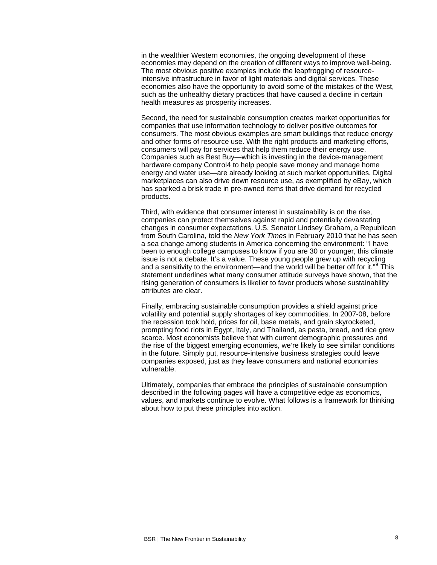in the wealthier Western economies, the ongoing development of these economies may depend on the creation of different ways to improve well-being. The most obvious positive examples include the leapfrogging of resourceintensive infrastructure in favor of light materials and digital services. These economies also have the opportunity to avoid some of the mistakes of the West, such as the unhealthy dietary practices that have caused a decline in certain health measures as prosperity increases.

Second, the need for sustainable consumption creates market opportunities for companies that use information technology to deliver positive outcomes for consumers. The most obvious examples are smart buildings that reduce energy and other forms of resource use. With the right products and marketing efforts, consumers will pay for services that help them reduce their energy use. Companies such as Best Buy—which is investing in the device-management hardware company Control4 to help people save money and manage home energy and water use—are already looking at such market opportunities. Digital marketplaces can also drive down resource use, as exemplified by eBay, which has sparked a brisk trade in pre-owned items that drive demand for recycled products.

Third, with evidence that consumer interest in sustainability is on the rise, companies can protect themselves against rapid and potentially devastating changes in consumer expectations. U.S. Senator Lindsey Graham, a Republican from South Carolina, told the *New York Times* in February 2010 that he has seen a sea change among students in America concerning the environment: "I have been to enough college campuses to know if you are 30 or younger, this climate issue is not a debate. It's a value. These young people grew up with recycling and a sensitivity to the environment—and the world will be better off for it."<sup>[9](#page-1-8)</sup> This statement underlines what many consumer attitude surveys have shown, that the rising generation of consumers is likelier to favor products whose sustainability attributes are clear.

Finally, embracing sustainable consumption provides a shield against price volatility and potential supply shortages of key commodities. In 2007-08, before the recession took hold, prices for oil, base metals, and grain skyrocketed, prompting food riots in Egypt, Italy, and Thailand, as pasta, bread, and rice grew scarce. Most economists believe that with current demographic pressures and the rise of the biggest emerging economies, we're likely to see similar conditions in the future. Simply put, resource-intensive business strategies could leave companies exposed, just as they leave consumers and national economies vulnerable.

Ultimately, companies that embrace the principles of sustainable consumption described in the following pages will have a competitive edge as economics, values, and markets continue to evolve. What follows is a framework for thinking about how to put these principles into action.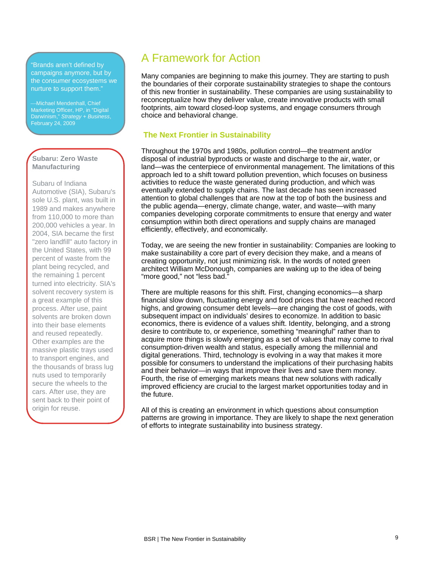"Brands aren't defined by campaigns anymore, but by the consumer ecosystems we nurture to support them."

Michael Mendenhall, Chief Marketing Officer, HP, in "Digital Darwinism," *Strategy + Business*, February 24, 2009

# **Subaru: Zero Waste Manufacturing**

Subaru of Indiana Automotive (SIA), Subaru's sole U.S. plant, was built in 1989 and makes anywhere from 110,000 to more than 200,000 vehicles a year. In 2004, SIA became the first "zero landfill" auto factory in the United States, with 99 percent of waste from the plant being recycled, and the remaining 1 percent turned into electricity. SIA's solvent recovery system is a great example of this process. After use, paint solvents are broken down into their base elements and reused repeatedly. Other examples are the massive plastic trays used to transport engines, and the thousands of brass lug nuts used to temporarily secure the wheels to the cars. After use, they are sent back to their point of origin for reuse.

# A Framework for Action

Many companies are beginning to make this journey. They are starting to push the boundaries of their corporate sustainability strategies to shape the contours of this new frontier in sustainability. These companies are using sustainability to reconceptualize how they deliver value, create innovative products with small footprints, aim toward closed-loop systems, and engage consumers through choice and behavioral change.

# **The Next Frontier in Sustainability**

Throughout the 1970s and 1980s, pollution control—the treatment and/or disposal of industrial byproducts or waste and discharge to the air, water, or land—was the centerpiece of environmental management. The limitations of this approach led to a shift toward pollution prevention, which focuses on business activities to reduce the waste generated during production, and which was eventually extended to supply chains. The last decade has seen increased attention to global challenges that are now at the top of both the business and the public agenda—energy, climate change, water, and waste—with many companies developing corporate commitments to ensure that energy and water consumption within both direct operations and supply chains are managed efficiently, effectively, and economically.

Today, we are seeing the new frontier in sustainability: Companies are looking to make sustainability a core part of every decision they make, and a means of creating opportunity, not just minimizing risk. In the words of noted green architect William McDonough, companies are waking up to the idea of being "more good," not "less bad."

There are multiple reasons for this shift. First, changing economics—a sharp financial slow down, fluctuating energy and food prices that have reached record highs, and growing consumer debt levels—are changing the cost of goods, with subsequent impact on individuals' desires to economize. In addition to basic economics, there is evidence of a values shift. Identity, belonging, and a strong desire to contribute to, or experience, something "meaningful" rather than to acquire more things is slowly emerging as a set of values that may come to rival consumption-driven wealth and status, especially among the millennial and digital generations. Third, technology is evolving in a way that makes it more possible for consumers to understand the implications of their purchasing habits and their behavior—in ways that improve their lives and save them money. Fourth, the rise of emerging markets means that new solutions with radically improved efficiency are crucial to the largest market opportunities today and in the future.

All of this is creating an environment in which questions about consumption patterns are growing in importance. They are likely to shape the next generation of efforts to integrate sustainability into business strategy.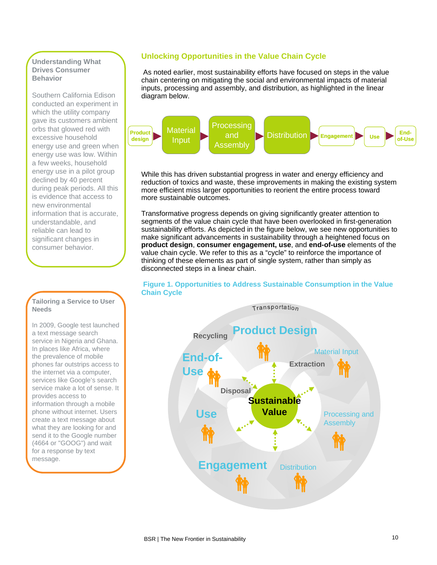### **Understanding What Drives Consumer Behavior**

Southern California Edison conducted an experiment in which the utility company gave its customers ambient orbs that glowed red with excessive household energy use and green when energy use was low. Within a few weeks, household energy use in a pilot group declined by 40 percent during peak periods. All this is evidence that access to new environmental information that is accurate, understandable, and reliable can lead to significant changes in consumer behavior.

#### **Tailoring a Service to User Needs**

In 2009, Google test launched a text message search service in Nigeria and Ghana. In places like Africa, where the prevalence of mobile phones far outstrips access to the internet via a computer, services like Google's search service make a lot of sense. It provides access to information through a mobile phone without internet. Users create a text message about what they are looking for and send it to the Google number (4664 or "GOOG") and wait for a response by text message.

# **Unlocking Opportunities in the Value Chain Cycle**

 As noted earlier, most sustainability efforts have focused on steps in the value chain centering on mitigating the social and environmental impacts of material inputs, processing and assembly, and distribution, as highlighted in the linear diagram below.



While this has driven substantial progress in water and energy efficiency and reduction of toxics and waste, these improvements in making the existing system more efficient miss larger opportunities to reorient the entire process toward more sustainable outcomes.

Transformative progress depends on giving significantly greater attention to segments of the value chain cycle that have been overlooked in first-generation sustainability efforts. As depicted in the figure below, we see new opportunities to make significant advancements in sustainability through a heightened focus on **product design**, **consumer engagement, use**, and **end-of-use** elements of the value chain cycle. We refer to this as a "cycle" to reinforce the importance of thinking of these elements as part of single system, rather than simply as disconnected steps in a linear chain.



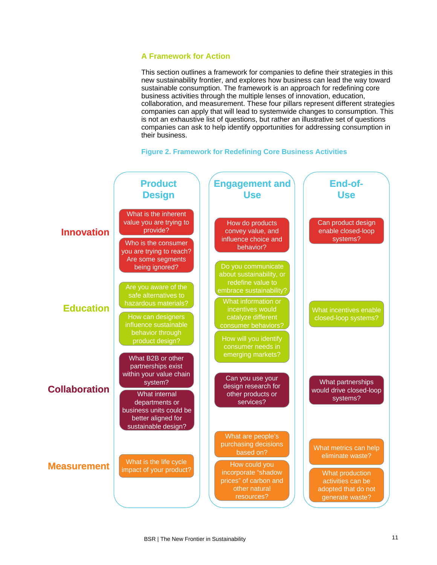# **A Framework for Action**

This section outlines a framework for companies to define their strategies in this new sustainability frontier, and explores how business can lead the way toward sustainable consumption. The framework is an approach for redefining core business activities through the multiple lenses of innovation, education, collaboration, and measurement. These four pillars represent different strategies companies can apply that will lead to systemwide changes to consumption. This is not an exhaustive list of questions, but rather an illustrative set of questions companies can ask to help identify opportunities for addressing consumption in their business.



#### **Figure 2. Framework for Redefining Core Business Activities**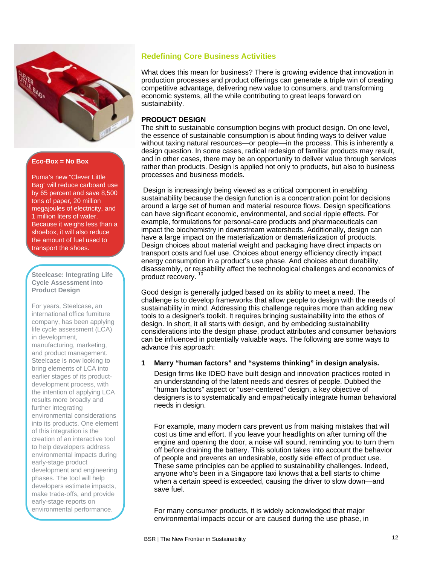

# **Eco-Box = No Box**

Puma's new "Clever Little Bag" will reduce carboard use by 65 percent and save 8,500 tons of paper, 20 million megajoules of electricity, and 1 million liters of water. Because it weighs less than a shoebox, it will also reduce the amount of fuel used to transport the shoes.

#### Steelcase: Integrating Life **[10](#page-1-9) are all and Steelcase: Integrating Life 10** and product recovery. **Cycle Assessment into Product Design**

For years, Steelcase, an international office furniture company, has been applying life cycle assessment (LCA) in development, manufacturing, marketing, and product management. Steelcase is now looking to bring elements of LCA into earlier stages of its productdevelopment process, with the intention of applying LCA results more broadly and further integrating environmental considerations into its products. One element of this integration is the creation of an interactive tool to help developers address environmental impacts during early-stage product development and engineering phases. The tool will help developers estimate impacts, make trade-offs, and provide early-stage reports on environmental performance.

# **Redefining Core Business Activities**

What does this mean for business? There is growing evidence that innovation in production processes and product offerings can generate a triple win of creating competitive advantage, delivering new value to consumers, and transforming economic systems, all the while contributing to great leaps forward on sustainability.

# **PRODUCT DESIGN**

The shift to sustainable consumption begins with product design. On one level, the essence of sustainable consumption is about finding ways to deliver value without taxing natural resources—or people—in the process. This is inherently a design question. In some cases, radical redesign of familiar products may result, and in other cases, there may be an opportunity to deliver value through services rather than products. Design is applied not only to products, but also to business processes and business models.

 Design is increasingly being viewed as a critical component in enabling sustainability because the design function is a concentration point for decisions around a large set of human and material resource flows. Design specifications can have significant economic, environmental, and social ripple effects. For example, formulations for personal-care products and pharmaceuticals can impact the biochemistry in downstream watersheds. Additionally, design can have a large impact on the materialization or dematerialization of products. Design choices about material weight and packaging have direct impacts on transport costs and fuel use. Choices about energy efficiency directly impact energy consumption in a product's use phase. And choices about durability, disassembly, or reusability affect the technological challenges and economics of

Good design is generally judged based on its ability to meet a need. The challenge is to develop frameworks that allow people to design with the needs of sustainability in mind. Addressing this challenge requires more than adding new tools to a designer's toolkit. It requires bringing sustainability into the ethos of design. In short, it all starts with design, and by embedding sustainability considerations into the design phase, product attributes and consumer behaviors can be influenced in potentially valuable ways. The following are some ways to advance this approach:

# **1 Marry "human factors" and "systems thinking" in design analysis.**

Design firms like IDEO have built design and innovation practices rooted in an understanding of the latent needs and desires of people. Dubbed the "human factors" aspect or "user-centered" design, a key objective of designers is to systematically and empathetically integrate human behavioral needs in design.

For example, many modern cars prevent us from making mistakes that will cost us time and effort. If you leave your headlights on after turning off the engine and opening the door, a noise will sound, reminding you to turn them off before draining the battery. This solution takes into account the behavior of people and prevents an undesirable, costly side effect of product use. These same principles can be applied to sustainability challenges. Indeed, anyone who's been in a Singapore taxi knows that a bell starts to chime when a certain speed is exceeded, causing the driver to slow down—and save fuel.

For many consumer products, it is widely acknowledged that major environmental impacts occur or are caused during the use phase, in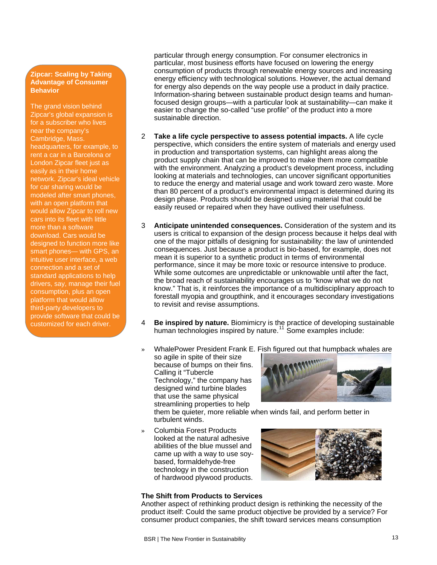#### **Zipcar: Scaling by Taking Advantage of Consumer Behavior**

The grand vision behind Zipcar's global expansion is for a subscriber who lives near the company's Cambridge, Mass. headquarters, for example, to rent a car in a Barcelona or London Zipcar fleet just as easily as in their home network. Zipcar's ideal vehicle for car sharing would be modeled after smart phones, with an open platform that would allow Zipcar to roll new cars into its fleet with little more than a software download. Cars would be designed to function more like smart phones— with GPS, an intuitive user interface, a web connection and a set of standard applications to help drivers, say, manage their fuel consumption, plus an open platform that would allow third-party developers to provide software that could be customized for each driver.

particular through energy consumption. For consumer electronics in particular, most business efforts have focused on lowering the energy consumption of products through renewable energy sources and increasing energy efficiency with technological solutions. However, the actual demand for energy also depends on the way people use a product in daily practice. Information-sharing between sustainable product design teams and humanfocused design groups—with a particular look at sustainability—can make it easier to change the so-called "use profile" of the product into a more sustainable direction.

- 2 **Take a life cycle perspective to assess potential impacts.** A life cycle perspective, which considers the entire system of materials and energy used in production and transportation systems, can highlight areas along the product supply chain that can be improved to make them more compatible with the environment. Analyzing a product's development process, including looking at materials and technologies, can uncover significant opportunities to reduce the energy and material usage and work toward zero waste. More than 80 percent of a product's environmental impact is determined during its design phase. Products should be designed using material that could be easily reused or repaired when they have outlived their usefulness.
- 3 **Anticipate unintended consequences.** Consideration of the system and its users is critical to expansion of the design process because it helps deal with one of the major pitfalls of designing for sustainability: the law of unintended consequences. Just because a product is bio-based, for example, does not mean it is superior to a synthetic product in terms of environmental performance, since it may be more toxic or resource intensive to produce. While some outcomes are unpredictable or unknowable until after the fact, the broad reach of sustainability encourages us to "know what we do not know." That is, it reinforces the importance of a multidisciplinary approach to forestall myopia and groupthink, and it encourages secondary investigations to revisit and revise assumptions.
- 4 **Be inspired by nature.** Biomimicry is the practice of developing sustainable human technologies inspired by nature.<sup>[11](#page-1-10)</sup> Some examples include:
- » WhalePower President Frank E. Fish figured out that humpback whales are so agile in spite of their size because of bumps on their fins. Calling it "Tubercle Technology," the company has designed wind turbine blades that use the same physical streamlining properties to help



them be quieter, more reliable when winds fail, and perform better in turbulent winds.

» Columbia Forest Products looked at the natural adhesive abilities of the blue mussel and came up with a way to use soybased, formaldehyde-free technology in the construction of hardwood plywood products.



#### **The Shift from Products to Services**

Another aspect of rethinking product design is rethinking the necessity of the product itself: Could the same product objective be provided by a service? For consumer product companies, the shift toward services means consumption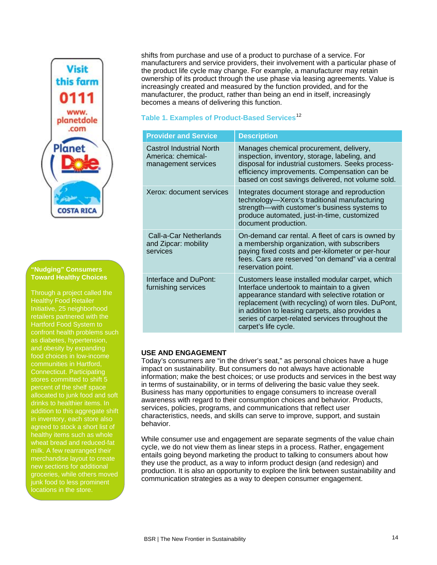

#### **"Nudging" Consumers Toward Healthy Choices**

Through a project called the Healthy Food Retailer Initiative, 25 neighborhood retailers partnered with the Hartford Food System to confront health problems such as diabetes, hypertension, and obesity by expanding food choices in low-income communities in Hartford, Connecticut. Participating stores committed to shift 5 percent of the shelf space allocated to junk food and soft drinks to healthier items. In addition to this aggregate shift agreed to stock a short list of healthy items such as whole wheat bread and reduced-fat milk. A few rearranged their merchandise layout to create new sections for additional groceries, while others moved junk food to less prominent locations in the store.

shifts from purchase and use of a product to purchase of a service. For manufacturers and service providers, their involvement with a particular phase of the product life cycle may change. For example, a manufacturer may retain ownership of its product through the use phase via leasing agreements. Value is increasingly created and measured by the function provided, and for the manufacturer, the product, rather than being an end in itself, increasingly becomes a means of delivering this function.

# **Table 1. Examples of Product-Based Services**[12](#page-1-11)

| <b>Provider and Service</b>                                                  | <b>Description</b>                                                                                                                                                                                                                                                                                                                    |
|------------------------------------------------------------------------------|---------------------------------------------------------------------------------------------------------------------------------------------------------------------------------------------------------------------------------------------------------------------------------------------------------------------------------------|
| <b>Castrol Industrial North</b><br>America: chemical-<br>management services | Manages chemical procurement, delivery,<br>inspection, inventory, storage, labeling, and<br>disposal for industrial customers. Seeks process-<br>efficiency improvements. Compensation can be<br>based on cost savings delivered, not volume sold.                                                                                    |
| Xerox: document services                                                     | Integrates document storage and reproduction<br>technology-Xerox's traditional manufacturing<br>strength—with customer's business systems to<br>produce automated, just-in-time, customized<br>document production.                                                                                                                   |
| Call-a-Car Netherlands<br>and Zipcar: mobility<br>services                   | On-demand car rental. A fleet of cars is owned by<br>a membership organization, with subscribers<br>paying fixed costs and per-kilometer or per-hour<br>fees. Cars are reserved "on demand" via a central<br>reservation point.                                                                                                       |
| Interface and DuPont:<br>furnishing services                                 | Customers lease installed modular carpet, which<br>Interface undertook to maintain to a given<br>appearance standard with selective rotation or<br>replacement (with recycling) of worn tiles. DuPont,<br>in addition to leasing carpets, also provides a<br>series of carpet-related services throughout the<br>carpet's life cycle. |

# **USE AND ENGAGEMENT**

Today's consumers are "in the driver's seat," as personal choices have a huge impact on sustainability. But consumers do not always have actionable information; make the best choices; or use products and services in the best way in terms of sustainability, or in terms of delivering the basic value they seek. Business has many opportunities to engage consumers to increase overall awareness with regard to their consumption choices and behavior. Products, services, policies, programs, and communications that reflect user characteristics, needs, and skills can serve to improve, support, and sustain behavior.

While consumer use and engagement are separate segments of the value chain cycle, we do not view them as linear steps in a process. Rather, engagement entails going beyond marketing the product to talking to consumers about how they use the product, as a way to inform product design (and redesign) and production. It is also an opportunity to explore the link between sustainability and communication strategies as a way to deepen consumer engagement.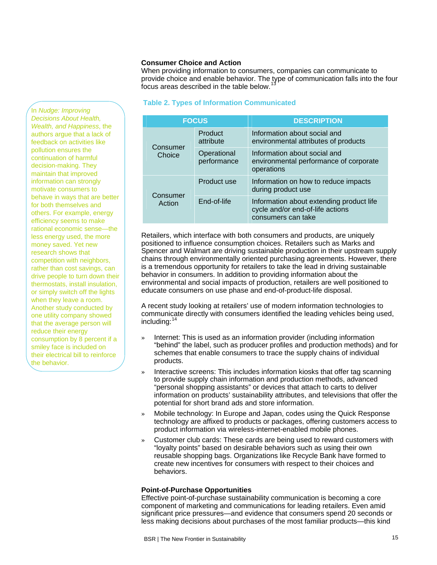#### **Consumer Choice and Action**

When providing information to consumers, companies can communicate to provide choice and enable behavior. The type of communication falls into the four focus areas described in the table below.<sup>[13](#page-1-12)</sup>

#### **Table 2. Types of Information Communicated**

| <b>FOCUS</b>       |                            | <b>DESCRIPTION</b>                                                                                 |  |
|--------------------|----------------------------|----------------------------------------------------------------------------------------------------|--|
| Consumer<br>Choice | Product<br>attribute       | Information about social and<br>environmental attributes of products                               |  |
|                    | Operational<br>performance | Information about social and<br>environmental performance of corporate<br>operations               |  |
| Consumer<br>Action | Product use                | Information on how to reduce impacts<br>during product use                                         |  |
|                    | End-of-life                | Information about extending product life<br>cycle and/or end-of-life actions<br>consumers can take |  |

Retailers, which interface with both consumers and products, are uniquely positioned to influence consumption choices. Retailers such as Marks and Spencer and Walmart are driving sustainable production in their upstream supply chains through environmentally oriented purchasing agreements. However, there is a tremendous opportunity for retailers to take the lead in driving sustainable behavior in consumers. In addition to providing information about the environmental and social impacts of production, retailers are well positioned to educate consumers on use phase and end-of-product-life disposal.

A recent study looking at retailers' use of modern information technologies to communicate directly with consumers identified the leading vehicles being used, including: $1$ 

- Internet: This is used as an information provider (including information "behind" the label, such as producer profiles and production methods) and for schemes that enable consumers to trace the supply chains of individual products.
- » Interactive screens: This includes information kiosks that offer tag scanning to provide supply chain information and production methods, advanced "personal shopping assistants" or devices that attach to carts to deliver information on products' sustainability attributes, and televisions that offer the potential for short brand ads and store information.
- » Mobile technology: In Europe and Japan, codes using the Quick Response technology are affixed to products or packages, offering customers access to product information via wireless-internet-enabled mobile phones.
- » Customer club cards: These cards are being used to reward customers with "loyalty points" based on desirable behaviors such as using their own reusable shopping bags. Organizations like Recycle Bank have formed to create new incentives for consumers with respect to their choices and behaviors.

#### **Point-of-Purchase Opportunities**

Effective point-of-purchase sustainability communication is becoming a core component of marketing and communications for leading retailers. Even amid significant price pressures—and evidence that consumers spend 20 seconds or less making decisions about purchases of the most familiar products—this kind

In *Nudge: Improving Decisions About Health, Wealth, and Happiness*, the authors argue that a lack of feedback on activities like pollution ensures the continuation of harmful decision-making. They maintain that improved information can strongly motivate consumers to behave in ways that are better for both themselves and others. For example, energy efficiency seems to make rational economic sense—the less energy used, the more money saved. Yet new research shows that competition with neighbors, rather than cost savings, can drive people to turn down their thermostats, install insulation, or simply switch off the lights when they leave a room. Another study conducted by one utility company showed that the average person will reduce their energy consumption by 8 percent if a smiley face is included on their electrical bill to reinforce the behavior.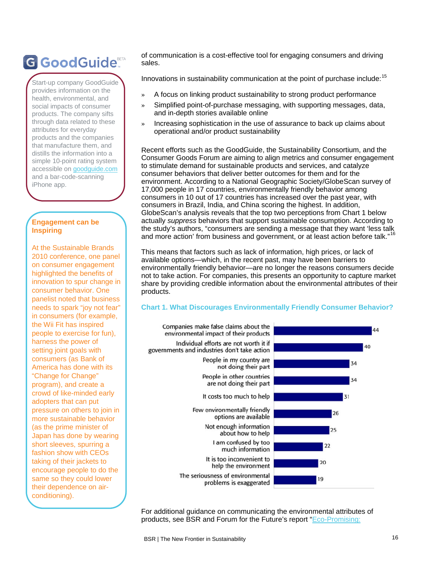# G GoodGuide®

Start-up company GoodGuide provides information on the health, environmental, and social impacts of consumer products. The company sifts through data related to thes products and the companies that manufacture them, and distills the information into a simple 10-point rating system accessible on goodguide.com and a bar-code-scanning iPhone app.

# **Engagement can be Inspiring**

At the Sustainable Brands 2010 conference, one pane l on consumer engagement highlighted the benefits of innovation to spur change in consumer behavior. One panelist noted that busines s needs to spark "joy not fear" in consumers (for example, the Wii Fit has inspired people to exercise for fun), harness the power of setting joint goals with consumers (as Bank of America has done with its "Change for Change" program), and create a crowd of like-minded early adopters that can put pressure on others to join in more sustainable behavior (as the prime minister of Japan has done by wearing short sleeves, spurring a fashion show with CEOs taking of their jackets to encourage people to do the same so they could lower their dependence on airconditioning).

of communication is a cost-effective tool for engaging consumers and driving sales.

Innovations in sustainability communication at the point of purchase include:  $15$ 

- » A focus on linking product sustainability to strong product performance
- Simplified point-of-purchase messaging, with supporting messages, data, and in-depth stories available online
- » Increasing sophistication in the use of assurance to back up claims about attributes for everyday **attributes for everyday**

Recent efforts such as the GoodGuide, the Sustainability Consortium, and the Consumer Goods Forum are aiming to align metrics and consumer engagement to stimulate demand for sustainable products and services, and catalyze consumer behaviors that deliver better outcomes for them and for the environment. According to a National Geographic Society/GlobeScan survey of 17,000 people in 17 countries, environmentally friendly behavior among consumers in 10 out of 17 countries has increased over the past year, with consumers in Brazil, India, and China scoring the highest. In addition, GlobeScan's analysis reveals that the top two perceptions from Chart 1 below actually *suppress* behaviors that support sustainable consumption. According to the study's authors, "consumers are sending a message that they want 'less talk and more action' from business and government, or at least action before talk."<sup>[16](#page-1-15)</sup>

This means that factors such as lack of information, high prices, or lack of available options—which, in the recent past, may have been barriers to environmentally friendly behavior—are no longer the reasons consumers decide not to take action. For companies, this presents an opportunity to capture market share by providing credible information about the environmental attributes of their products.

#### **Chart 1. What Discourages Environmentally Friendly Consumer Behavior?**



For additional guidance on communicating the environmental attributes of products, see BSR and Forum for the Future's report "[Eco-Promising:](http://www.bsr.org/reports/BSR_Eco-Promising_April_2008.pdf)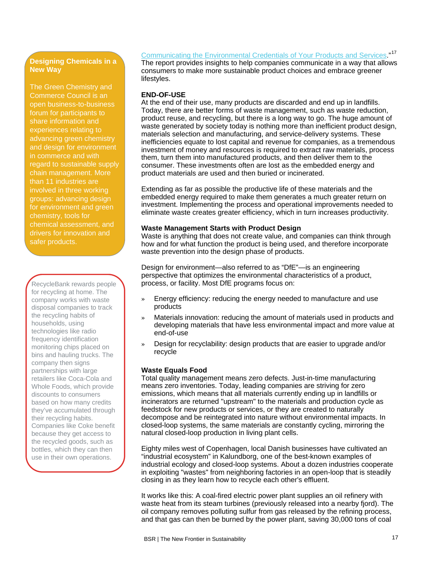# **Designing Chemicals in a New Way**

The Green Chemistry and Commerce Council is an open business-to-business forum for participants to share information and experiences relating to advancing green chemistry and design for environment in commerce and with regard to sustainable supply chain management. More than 11 industries are involved in three working groups: advancing design for environment and green chemistry, tools for chemical assessment, and drivers for innovation and safer products.

for recycling at home. The company works with waste disposal companies to track the recycling habits of households, using technologies like radio frequency identification monitoring chips placed on bins and hauling trucks. The company then signs partnerships with large retailers like Coca-Cola and Whole Foods, which provide discounts to consumers based on how many credits they've accumulated through their recycling habits. Companies like Coke benefit because they get access to the recycled goods, such as bottles, which they can then use in their own operations.

[Communicating the Environmental Credentials of Your Products and Services.](http://www.bsr.org/reports/BSR_Eco-Promising_April_2008.pdf)"<sup>[17](#page-1-16)</sup> The report provides insights to help companies communicate in a way that allows consumers to make more sustainable product choices and embrace greener lifestyles.

# **END-OF-USE**

At the end of their use, many products are discarded and end up in landfills. Today, there are better forms of waste management, such as waste reduction, product reuse, and recycling, but there is a long way to go. The huge amount of waste generated by society today is nothing more than inefficient product design, materials selection and manufacturing, and service-delivery systems. These inefficiencies equate to lost capital and revenue for companies, as a tremendous investment of money and resources is required to extract raw materials, process them, turn them into manufactured products, and then deliver them to the consumer. These investments often are lost as the embedded energy and product materials are used and then buried or incinerated.

Extending as far as possible the productive life of these materials and the embedded energy required to make them generates a much greater return on investment. Implementing the process and operational improvements needed to eliminate waste creates greater efficiency, which in turn increases productivity.

#### **Waste Management Starts with Product Design**

Waste is anything that does not create value, and companies can think through how and for what function the product is being used, and therefore incorporate waste prevention into the design phase of products.

Design for environment—also referred to as "DfE"—is an engineering perspective that optimizes the environmental characteristics of a product, RecycleBank rewards people **process, or facility. Most DfE programs focus on:** 

- » Energy efficiency: reducing the energy needed to manufacture and use products
- Materials innovation: reducing the amount of materials used in products and developing materials that have less environmental impact and more value at end-of-use
- » Design for recyclability: design products that are easier to upgrade and/or recycle

# **Waste Equals Food**

Total quality management means zero defects. Just-in-time manufacturing means zero inventories. Today, leading companies are striving for zero emissions, which means that all materials currently ending up in landfills or incinerators are returned "upstream" to the materials and production cycle as feedstock for new products or services, or they are created to naturally decompose and be reintegrated into nature without environmental impacts. In closed-loop systems, the same materials are constantly cycling, mirroring the natural closed-loop production in living plant cells.

Eighty miles west of Copenhagen, local Danish businesses have cultivated an "industrial ecosystem" in Kalundborg, one of the best-known examples of industrial ecology and closed-loop systems. About a dozen industries cooperate in exploiting "wastes" from neighboring factories in an open-loop that is steadily closing in as they learn how to recycle each other's effluent.

It works like this: A coal-fired electric power plant supplies an oil refinery with waste heat from its steam turbines (previously released into a nearby fjord). The oil company removes polluting sulfur from gas released by the refining process, and that gas can then be burned by the power plant, saving 30,000 tons of coal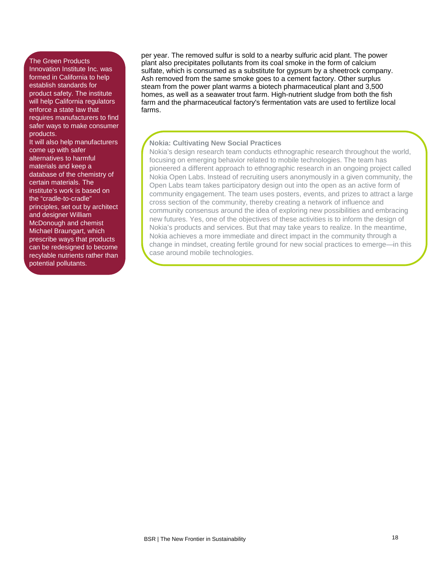#### The Green Products

Innovation Institute Inc. was formed in California to help establish standards for product safety. The institute will help California regulators enforce a state law that requires manufacturers to find safer ways to make consumer products.

It will also help manufacturers come up with safer alternatives to harmful materials and keep a database of the chemistry of certain materials. The institute's work is based on the "cradle-to-cradle" principles, set out by architect and designer William McDonough and chemist Michael Braungart, which prescribe ways that products can be redesigned to become recylable nutrients rather than potential pollutants.

per year. The removed sulfur is sold to a nearby sulfuric acid plant. The power plant also precipitates pollutants from its coal smoke in the form of calcium sulfate, which is consumed as a substitute for gypsum by a sheetrock company. Ash removed from the same smoke goes to a cement factory. Other surplus steam from the power plant warms a biotech pharmaceutical plant and 3,500 homes, as well as a seawater trout farm. High-nutrient sludge from both the fish farm and the pharmaceutical factory's fermentation vats are used to fertilize local farms.

### **Nokia: Cultivating New Social Practices**

Nokia's design research team conducts ethnographic research throug hout the world, focusing on emerging behavior related to mobile technologies. The tea m has pioneered a different approach to ethnographic research in an ongoin g project called Nokia Open Labs. Instead of recruiting users anonymously in a give n community, the Open Labs team takes participatory design out into the open as an acti ve form of community engagement. The team uses posters, events, and prizes to attract a large cross section of the community, thereby creating a network of influenc e and community consensus around the idea of exploring new possibilities a nd embracing new futures. Yes, one of the objectives of these activities is to inform the design of Nokia's products and services. But that may take years to realize. In the meantime, Nokia achieves a more immediate and direct impact in the community through a change in mindset, creating fertile ground for new social practices to emerge—in this case around mobile technologies.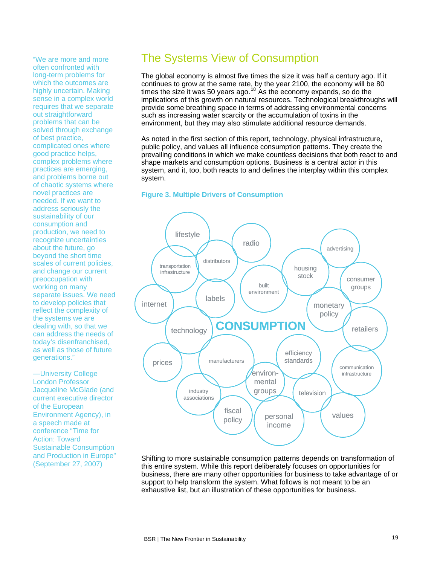often confronted with long-term problems for which the outcomes are highly uncertain. Making sense in a complex world requires that we separate out straightforward problems that can be solved through exchange of best practice, complicated ones where good practice helps, complex problems where practices are emerging, and problems borne out of chaotic systems where novel practices are needed. If we want to address seriously the sustainability of our consumption and production, we need to recognize uncertainties about the future, go beyond the short time scales of current policies, and change our current preoccupation with working on many separate issues. We need to develop policies that reflect the complexity of the systems we are dealing with, so that we can address the needs of today's disenfranchised, as well as those of future generations."

—University College London Professor Jacqueline McGlade (and current executive director of the European Environment Agency), in a speech made at conference "Time for Action: Toward Sustainable Consumption and Production in Europe" (September 27, 2007)

# "We are more and more The Systems View of Consumption

The global economy is almost five times the size it was half a century ago. If it continues to grow at the same rate, by the year 2100, the economy will be 80 times the size it was 50 years ago.<sup>[18](#page-1-17)</sup> As the economy expands, so do the implications of this growth on natural resources. Technological breakthroughs will provide some breathing space in terms of addressing environmental concerns such as increasing water scarcity or the accumulation of toxins in the environment, but they may also stimulate additional resource demands.

As noted in the first section of this report, technology, physical infrastructure, public policy, and values all influence consumption patterns. They create the prevailing conditions in which we make countless decisions that both react to and shape markets and consumption options. Business is a central actor in this system, and it, too, both reacts to and defines the interplay within this complex system.

#### **Figure 3. Multiple Drivers of Consumption**



this entire system. While this report deliberately focuses on opportunities for business, there are many other opportunities for business to take advantage of or support to help transform the system. What follows is not meant to be an exhaustive list, but an illustration of these opportunities for business.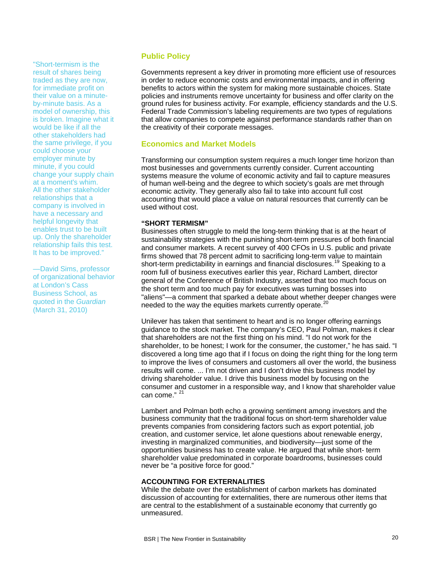"Short-termism is the result of shares being traded as they are now, for immediate profit on their value on a minuteby-minute basis. As a model of ownership, this is broken. Imagine what it would be like if all the other stakeholders had the same privilege, if you could choose your employer minute by minute, if you could change your supply chain at a moment's whim. All the other stakeholder relationships that a company is involved in have a necessary and helpful longevity that enables trust to be built up. Only the shareholder relationship fails this test. It has to be improved."

—David Sims, professor of organizational behavior at London's Cass Business School, as quoted in the *Guardian* (March 31, 2010)

# **Public Policy**

Governments represent a key driver in promoting more efficient use of resources in order to reduce economic costs and environmental impacts, and in offering benefits to actors within the system for making more sustainable choices. State policies and instruments remove uncertainty for business and offer clarity on the ground rules for business activity. For example, efficiency standards and the U.S. Federal Trade Commission's labeling requirements are two types of regulations that allow companies to compete against performance standards rather than on the creativity of their corporate messages.

# **Economics and Market Models**

Transforming our consumption system requires a much longer time horizon than most businesses and governments currently consider. Current accounting systems measure the volume of economic activity and fail to capture measures of human well-being and the degree to which society's goals are met through economic activity. They generally also fail to take into account full cost accounting that would place a value on natural resources that currently can be used without cost.

#### **"SHORT TERMISM"**

Businesses often struggle to meld the long-term thinking that is at the heart of sustainability strategies with the punishing short-term pressures of both financial and consumer markets. A recent survey of 400 CFOs in U.S. public and private firms showed that 78 percent admit to sacrificing long-term value to maintain short-term predictability in earnings and financial disclosures.<sup>[19](#page-1-18)</sup> Speaking to a room full of business executives earlier this year, Richard Lambert, director general of the Conference of British Industry, asserted that too much focus on the short term and too much pay for executives was turning bosses into "aliens"—a comment that sparked a debate about whether deeper changes were needed to the way the equities markets currently operate.<sup>[20](#page-1-19)</sup>

Unilever has taken that sentiment to heart and is no longer offering earnings guidance to the stock market. The company's CEO, Paul Polman, makes it clear that shareholders are not the first thing on his mind. "I do not work for the shareholder, to be honest; I work for the consumer, the customer," he has said. "I discovered a long time ago that if I focus on doing the right thing for the long term to improve the lives of consumers and customers all over the world, the business results will come. ... I'm not driven and I don't drive this business model by driving shareholder value. I drive this business model by focusing on the consumer and customer in a responsible way, and I know that shareholder value can come." [21](#page-1-20)

Lambert and Polman both echo a growing sentiment among investors and the business community that the traditional focus on short-term shareholder value prevents companies from considering factors such as export potential, job creation, and customer service, let alone questions about renewable energy, investing in marginalized communities, and biodiversity—just some of the opportunities business has to create value. He argued that while short- term shareholder value predominated in corporate boardrooms, businesses could never be "a positive force for good."

#### **ACCOUNTING FOR EXTERNALITIES**

While the debate over the establishment of carbon markets has dominated discussion of accounting for externalities, there are numerous other items that are central to the establishment of a sustainable economy that currently go unmeasured.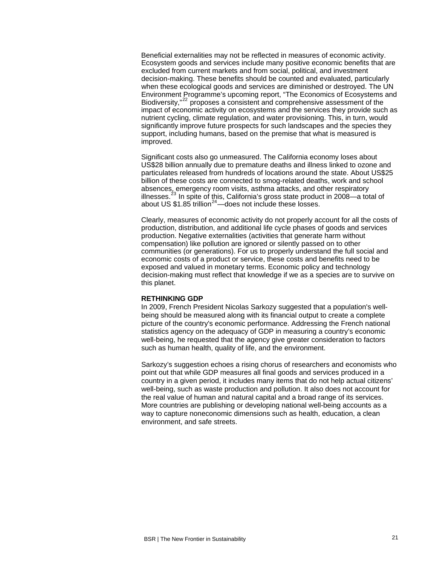Beneficial externalities may not be reflected in measures of economic activity. Ecosystem goods and services include many positive economic benefits that are excluded from current markets and from social, political, and investment decision-making. These benefits should be counted and evaluated, particularly when these ecological goods and services are diminished or destroyed. The UN Environment Programme's upcoming report, "The Economics of Ecosystems and Biodiversity,"<sup>[22](#page-1-21)</sup> proposes a consistent and comprehensive assessment of the impact of economic activity on ecosystems and the services they provide such as nutrient cycling, climate regulation, and water provisioning. This, in turn, would significantly improve future prospects for such landscapes and the species they support, including humans, based on the premise that what is measured is improved.

Significant costs also go unmeasured. The California economy loses about US\$28 billion annually due to premature deaths and illness linked to ozone and particulates released from hundreds of locations around the state. About US\$25 billion of these costs are connected to smog-related deaths, work and school absences, emergency room visits, asthma attacks, and other respiratory illnesses.[23](#page-1-22) In spite of this, California's gross state product in 2008—a total of about US  $$1.85$  trillion<sup>[24](#page-1-23)</sup> —does not include these losses.

Clearly, measures of economic activity do not properly account for all the costs of production, distribution, and additional life cycle phases of goods and services production. Negative externalities (activities that generate harm without compensation) like pollution are ignored or silently passed on to other communities (or generations). For us to properly understand the full social and economic costs of a product or service, these costs and benefits need to be exposed and valued in monetary terms. Economic policy and technology decision-making must reflect that knowledge if we as a species are to survive on this planet.

#### **RETHINKING GDP**

In 2009, French President Nicolas Sarkozy suggested that a population's wellbeing should be measured along with its financial output to create a complete picture of the country's economic performance. Addressing the French national statistics agency on the adequacy of GDP in measuring a country's economic well-being, he requested that the agency give greater consideration to factors such as human health, quality of life, and the environment.

Sarkozy's suggestion echoes a rising chorus of researchers and economists who point out that while GDP measures all final goods and services produced in a country in a given period, it includes many items that do not help actual citizens' well-being, such as waste production and pollution. It also does not account for the real value of human and natural capital and a broad range of its services. More countries are publishing or developing national well-being accounts as a way to capture noneconomic dimensions such as health, education, a clean environment, and safe streets.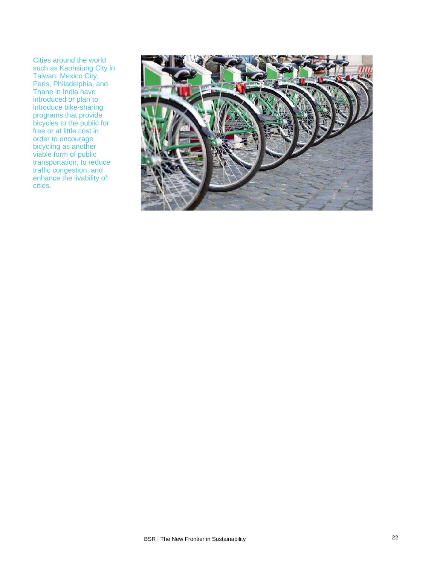Cities around the world such as Kaohsiung City in Taiwan, Mexico City, Paris, Philadelphia, and Thane in India have introduced or plan to introduce bike-sharing programs that provide bicycles to the public for free or at little cost in order to encourage bicycling as another viable form of public transportation, to reduce traffic congestion, and enhance the livability of cities.

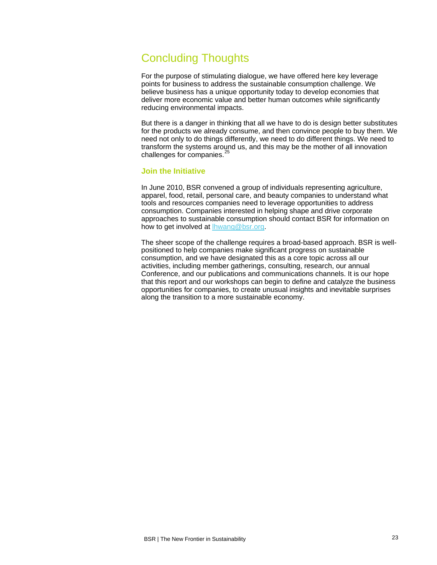# Concluding Thoughts

For the purpose of stimulating dialogue, we have offered here key leverage points for business to address the sustainable consumption challenge. We believe business has a unique opportunity today to develop economies that deliver more economic value and better human outcomes while significantly reducing environmental impacts.

But there is a danger in thinking that all we have to do is design better substitutes for the products we already consume, and then convince people to buy them. We need not only to do things differently, we need to do different things. We need to transform the systems around us, and this may be the mother of all innovation challenges for companies. $\frac{3}{5}$ 

#### **Join the Initiative**

In June 2010, BSR convened a group of individuals representing agriculture, apparel, food, retail, personal care, and beauty companies to understand what tools and resources companies need to leverage opportunities to address consumption. Companies interested in helping shape and drive corporate approaches to sustainable consumption should contact BSR for information on how to get involved at **hwang@bsr.org**.

The sheer scope of the challenge requires a broad-based approach. BSR is wellpositioned to help companies make significant progress on sustainable consumption, and we have designated this as a core topic across all our activities, including member gatherings, consulting, research, our annual Conference, and our publications and communications channels. It is our hope that this report and our workshops can begin to define and catalyze the business opportunities for companies, to create unusual insights and inevitable surprises along the transition to a more sustainable economy.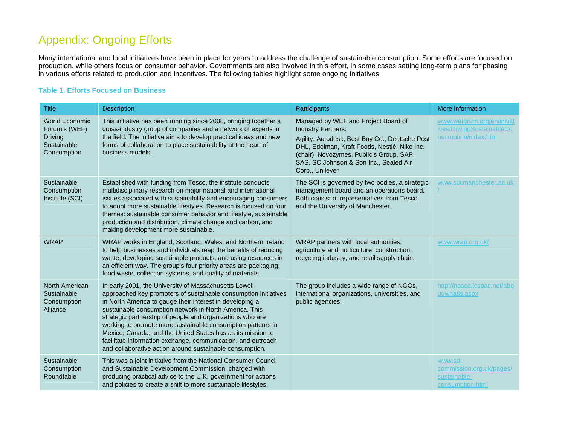# Appendix: Ongoing Efforts

Many intern ational and local initiatives have been in place for years to address the challenge of sustainable consumption. Some efforts are focused on prod uction, while others focus on consumer behavior. Governments are also involved in this effort, in some cases setting long-term plans for phasing in various efforts related to production and incentives. The following tables highlight some ongoing initiatives.

### **Table 1. Efforts Focused on Business**

| <b>Title</b>                                                                           | <b>Description</b>                                                                                                                                                                                                                                                                                                                                                                                                                                                                                                                                                    | Participants                                                                                                                                                                                                                                                                | More information                                                               |
|----------------------------------------------------------------------------------------|-----------------------------------------------------------------------------------------------------------------------------------------------------------------------------------------------------------------------------------------------------------------------------------------------------------------------------------------------------------------------------------------------------------------------------------------------------------------------------------------------------------------------------------------------------------------------|-----------------------------------------------------------------------------------------------------------------------------------------------------------------------------------------------------------------------------------------------------------------------------|--------------------------------------------------------------------------------|
| <b>World Economic</b><br>Forum's (WEF)<br><b>Driving</b><br>Sustainable<br>Consumption | This initiative has been running since 2008, bringing together a<br>cross-industry group of companies and a network of experts in<br>the field. The initiative aims to develop practical ideas and new<br>forms of collaboration to place sustainability at the heart of<br>business models.                                                                                                                                                                                                                                                                          | Managed by WEF and Project Board of<br><b>Industry Partners:</b><br>Agility, Autodesk, Best Buy Co., Deutsche Post<br>DHL, Edelman, Kraft Foods, Nestlé, Nike Inc.<br>(chair), Novozymes, Publicis Group, SAP,<br>SAS, SC Johnson & Son Inc., Sealed Air<br>Corp., Unilever | www.weforum.org/en/initiat<br>ives/DrivingSustainableCo<br>nsumption/index.htm |
| Sustainable<br>Consumption<br>Institute (SCI)                                          | Established with funding from Tesco, the institute conducts<br>multidisciplinary research on major national and international<br>issues associated with sustainability and encouraging consumers<br>to adopt more sustainable lifestyles. Research is focused on four<br>themes: sustainable consumer behavior and lifestyle, sustainable<br>production and distribution, climate change and carbon, and<br>making development more sustainable.                                                                                                                      | The SCI is governed by two bodies, a strategic<br>management board and an operations board.<br>Both consist of representatives from Tesco<br>and the University of Manchester.                                                                                              | www.sci.manchester.ac.uk                                                       |
| <b>WRAP</b>                                                                            | WRAP works in England, Scotland, Wales, and Northern Ireland<br>to help businesses and individuals reap the benefits of reducing<br>waste, developing sustainable products, and using resources in<br>an efficient way. The group's four priority areas are packaging,<br>food waste, collection systems, and quality of materials.                                                                                                                                                                                                                                   | WRAP partners with local authorities,<br>agriculture and horticulture, construction,<br>recycling industry, and retail supply chain.                                                                                                                                        | www.wrap.org.uk/                                                               |
| North American<br>Sustainable<br>Consumption<br>Alliance                               | In early 2001, the University of Massachusetts Lowell<br>approached key promoters of sustainable consumption initiatives<br>in North America to gauge their interest in developing a<br>sustainable consumption network in North America. This<br>strategic partnership of people and organizations who are<br>working to promote more sustainable consumption patterns in<br>Mexico, Canada, and the United States has as its mission to<br>facilitate information exchange, communication, and outreach<br>and collaborative action around sustainable consumption. | The group includes a wide range of NGOs,<br>international organizations, universities, and<br>public agencies.                                                                                                                                                              | http://nasca.icspac.net/abo<br>ut/whatis.aspx                                  |
| Sustainable<br>Consumption<br>Roundtable                                               | This was a joint initiative from the National Consumer Council<br>and Sustainable Development Commission, charged with<br>producing practical advice to the U.K. government for actions<br>and policies to create a shift to more sustainable lifestyles.                                                                                                                                                                                                                                                                                                             |                                                                                                                                                                                                                                                                             | www.sd-<br>commission.org.uk/pages/<br>sustainable-<br>consumption.html        |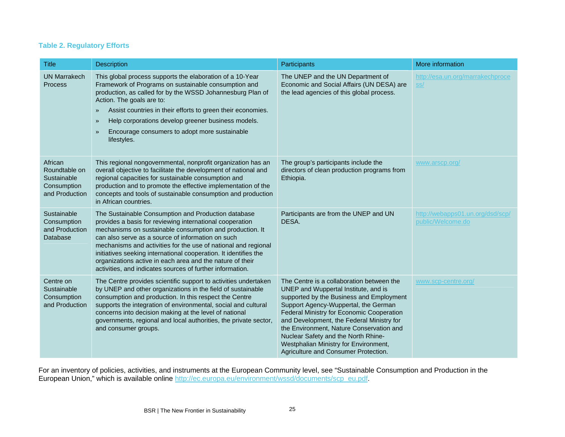# **Table 2. Regulatory Efforts**

| <b>Title</b>                                                             | Description                                                                                                                                                                                                                                                                                                                                                                                                                                                                                      | Participants                                                                                                                                                                                                                                                                                                                                                                                                                        | More information                                      |
|--------------------------------------------------------------------------|--------------------------------------------------------------------------------------------------------------------------------------------------------------------------------------------------------------------------------------------------------------------------------------------------------------------------------------------------------------------------------------------------------------------------------------------------------------------------------------------------|-------------------------------------------------------------------------------------------------------------------------------------------------------------------------------------------------------------------------------------------------------------------------------------------------------------------------------------------------------------------------------------------------------------------------------------|-------------------------------------------------------|
| <b>UN Marrakech</b><br>Process                                           | This global process supports the elaboration of a 10-Year<br>Framework of Programs on sustainable consumption and<br>production, as called for by the WSSD Johannesburg Plan of<br>Action. The goals are to:<br>Assist countries in their efforts to green their economies.<br>$\rightarrow$<br>Help corporations develop greener business models.<br>$\rightarrow$<br>Encourage consumers to adopt more sustainable<br>$\rightarrow$<br>lifestyles.                                             | The UNEP and the UN Department of<br>Economic and Social Affairs (UN DESA) are<br>the lead agencies of this global process.                                                                                                                                                                                                                                                                                                         | http://esa.un.org/marrakechproce<br>ss/               |
| African<br>Roundtable on<br>Sustainable<br>Consumption<br>and Production | This regional nongovernmental, nonprofit organization has an<br>overall objective to facilitate the development of national and<br>regional capacities for sustainable consumption and<br>production and to promote the effective implementation of the<br>concepts and tools of sustainable consumption and production<br>in African countries.                                                                                                                                                 | The group's participants include the<br>directors of clean production programs from<br>Ethiopia.                                                                                                                                                                                                                                                                                                                                    | www.arscp.org/                                        |
| Sustainable<br>Consumption<br>and Production<br><b>Database</b>          | The Sustainable Consumption and Production database<br>provides a basis for reviewing international cooperation<br>mechanisms on sustainable consumption and production. It<br>can also serve as a source of information on such<br>mechanisms and activities for the use of national and regional<br>initiatives seeking international cooperation. It identifies the<br>organizations active in each area and the nature of their<br>activities, and indicates sources of further information. | Participants are from the UNEP and UN<br>DESA.                                                                                                                                                                                                                                                                                                                                                                                      | http://webapps01.un.org/dsd/scp/<br>public/Welcome.do |
| Centre on<br>Sustainable<br>Consumption<br>and Production                | The Centre provides scientific support to activities undertaken<br>by UNEP and other organizations in the field of sustainable<br>consumption and production. In this respect the Centre<br>supports the integration of environmental, social and cultural<br>concerns into decision making at the level of national<br>governments, regional and local authorities, the private sector,<br>and consumer groups.                                                                                 | The Centre is a collaboration between the<br>UNEP and Wuppertal Institute, and is<br>supported by the Business and Employment<br>Support Agency-Wuppertal, the German<br>Federal Ministry for Economic Cooperation<br>and Development, the Federal Ministry for<br>the Environment, Nature Conservation and<br>Nuclear Safety and the North Rhine-<br>Westphalian Ministry for Environment,<br>Agriculture and Consumer Protection. | www.scp-centre.org/                                   |

For an inve Europ ntory of policies, activities, and instruments at the European Community level, see "Sustainable Consumption and Production in the ean Union," which is available online [http://ec.europa.eu/environment/wssd/documents/scp\\_eu.pdf](http://ec.europa.eu/environment/wssd/documents/scp_eu.pdf).